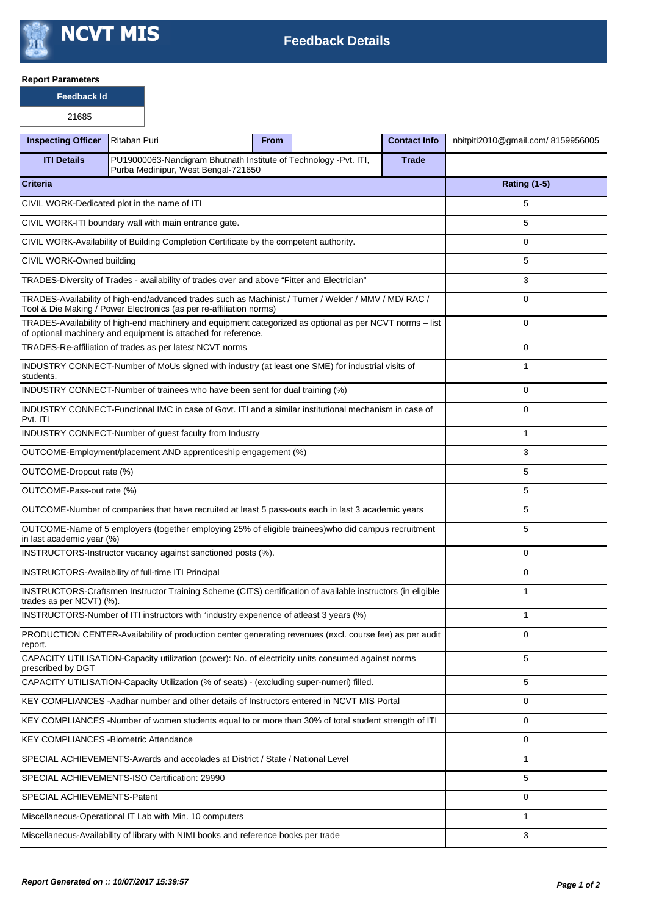

## **Report Parameters**

**Feedback Id**

| <b>Inspecting Officer</b>                                                                                                                                                    | Ritaban Puri                                                                                                | <b>From</b> |  | <b>Contact Info</b> | nbitpiti2010@gmail.com/8159956005 |
|------------------------------------------------------------------------------------------------------------------------------------------------------------------------------|-------------------------------------------------------------------------------------------------------------|-------------|--|---------------------|-----------------------------------|
| <b>ITI Details</b>                                                                                                                                                           | PU19000063-Nandigram Bhutnath Institute of Technology -Pvt. ITI,<br>Purba Medinipur, West Bengal-721650     |             |  | <b>Trade</b>        |                                   |
| <b>Criteria</b>                                                                                                                                                              |                                                                                                             |             |  |                     | <b>Rating (1-5)</b>               |
|                                                                                                                                                                              | CIVIL WORK-Dedicated plot in the name of ITI                                                                |             |  |                     | 5                                 |
| CIVIL WORK-ITI boundary wall with main entrance gate.                                                                                                                        |                                                                                                             |             |  |                     | 5                                 |
|                                                                                                                                                                              | CIVIL WORK-Availability of Building Completion Certificate by the competent authority.                      |             |  |                     | 0                                 |
| CIVIL WORK-Owned building                                                                                                                                                    |                                                                                                             |             |  |                     | 5                                 |
| TRADES-Diversity of Trades - availability of trades over and above "Fitter and Electrician"                                                                                  |                                                                                                             |             |  |                     | 3                                 |
| TRADES-Availability of high-end/advanced trades such as Machinist / Turner / Welder / MMV / MD/ RAC /<br>Tool & Die Making / Power Electronics (as per re-affiliation norms) |                                                                                                             |             |  |                     | $\Omega$                          |
| TRADES-Availability of high-end machinery and equipment categorized as optional as per NCVT norms - list<br>of optional machinery and equipment is attached for reference.   |                                                                                                             |             |  |                     | 0                                 |
|                                                                                                                                                                              | TRADES-Re-affiliation of trades as per latest NCVT norms                                                    |             |  |                     | 0                                 |
| INDUSTRY CONNECT-Number of MoUs signed with industry (at least one SME) for industrial visits of<br>students.                                                                |                                                                                                             |             |  |                     | $\mathbf{1}$                      |
|                                                                                                                                                                              | INDUSTRY CONNECT-Number of trainees who have been sent for dual training (%)                                |             |  |                     | $\Omega$                          |
| Pvt. ITI                                                                                                                                                                     | INDUSTRY CONNECT-Functional IMC in case of Govt. ITI and a similar institutional mechanism in case of       |             |  |                     | 0                                 |
|                                                                                                                                                                              | INDUSTRY CONNECT-Number of guest faculty from Industry                                                      |             |  |                     | $\mathbf{1}$                      |
|                                                                                                                                                                              | OUTCOME-Employment/placement AND apprenticeship engagement (%)                                              |             |  |                     | 3                                 |
| OUTCOME-Dropout rate (%)                                                                                                                                                     |                                                                                                             |             |  |                     | 5                                 |
| OUTCOME-Pass-out rate (%)                                                                                                                                                    |                                                                                                             |             |  |                     | 5                                 |
|                                                                                                                                                                              | OUTCOME-Number of companies that have recruited at least 5 pass-outs each in last 3 academic years          |             |  |                     | 5                                 |
| in last academic year (%)                                                                                                                                                    | OUTCOME-Name of 5 employers (together employing 25% of eligible trainees) who did campus recruitment        |             |  |                     | 5                                 |
|                                                                                                                                                                              | INSTRUCTORS-Instructor vacancy against sanctioned posts (%).                                                |             |  |                     | 0                                 |
|                                                                                                                                                                              | <b>INSTRUCTORS-Availability of full-time ITI Principal</b>                                                  |             |  |                     | 0                                 |
| trades as per NCVT) (%).                                                                                                                                                     | INSTRUCTORS-Craftsmen Instructor Training Scheme (CITS) certification of available instructors (in eligible |             |  |                     | $\mathbf{1}$                      |
|                                                                                                                                                                              | INSTRUCTORS-Number of ITI instructors with "industry experience of atleast 3 years (%)                      |             |  |                     | $\mathbf{1}$                      |
| report.                                                                                                                                                                      | PRODUCTION CENTER-Availability of production center generating revenues (excl. course fee) as per audit     |             |  |                     | 0                                 |
| prescribed by DGT                                                                                                                                                            | CAPACITY UTILISATION-Capacity utilization (power): No. of electricity units consumed against norms          |             |  |                     | 5                                 |
|                                                                                                                                                                              | CAPACITY UTILISATION-Capacity Utilization (% of seats) - (excluding super-numeri) filled.                   |             |  |                     | 5                                 |
| KEY COMPLIANCES - Aadhar number and other details of Instructors entered in NCVT MIS Portal                                                                                  | 0                                                                                                           |             |  |                     |                                   |
|                                                                                                                                                                              | KEY COMPLIANCES -Number of women students equal to or more than 30% of total student strength of ITI        |             |  |                     | 0                                 |
| KEY COMPLIANCES - Biometric Attendance                                                                                                                                       |                                                                                                             |             |  |                     | 0                                 |
|                                                                                                                                                                              | SPECIAL ACHIEVEMENTS-Awards and accolades at District / State / National Level                              |             |  |                     | $\mathbf{1}$                      |
| SPECIAL ACHIEVEMENTS-ISO Certification: 29990                                                                                                                                | 5                                                                                                           |             |  |                     |                                   |
| SPECIAL ACHIEVEMENTS-Patent                                                                                                                                                  | 0                                                                                                           |             |  |                     |                                   |
| Miscellaneous-Operational IT Lab with Min. 10 computers                                                                                                                      |                                                                                                             |             |  |                     | 1                                 |
|                                                                                                                                                                              | Miscellaneous-Availability of library with NIMI books and reference books per trade                         |             |  |                     | 3                                 |